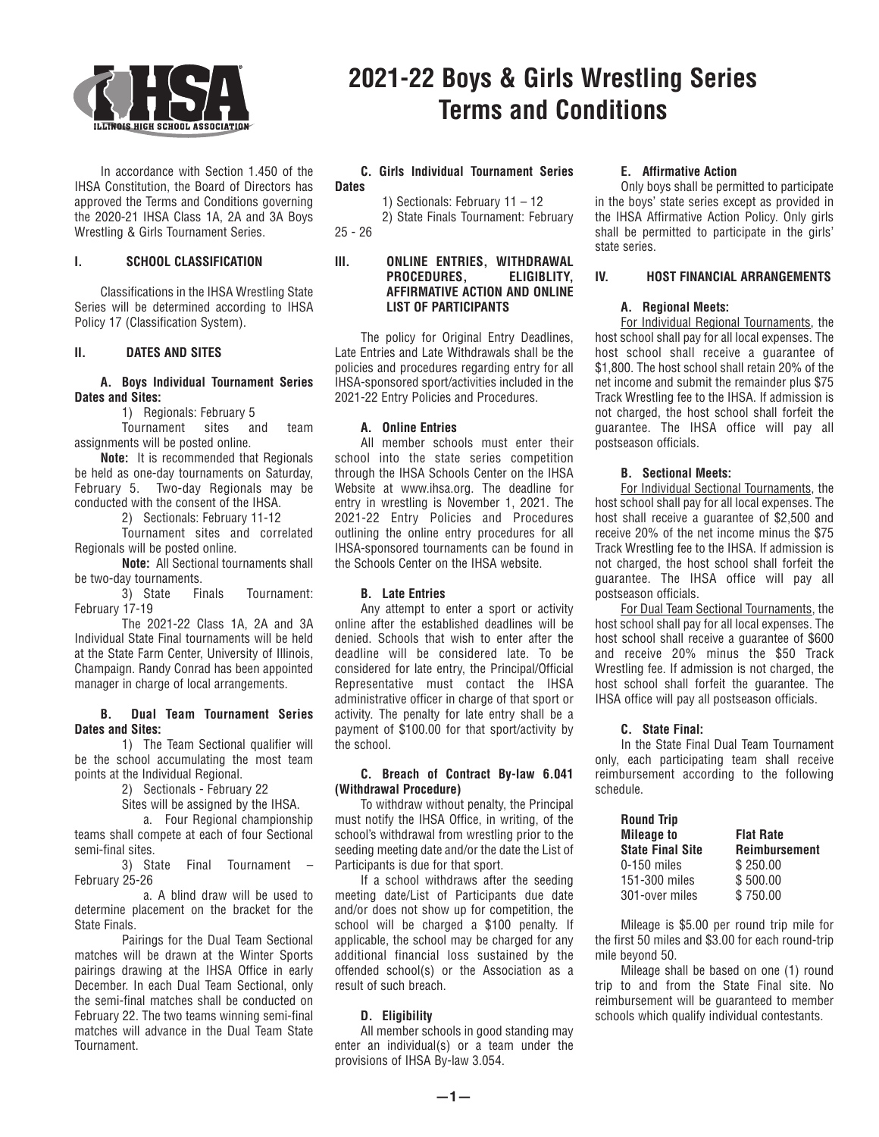

 In accordance with Section 1.450 of the IHSA Constitution, the Board of Directors has approved the Terms and Conditions governing the 2020-21 IHSA Class 1A, 2A and 3A Boys Wrestling & Girls Tournament Series.

# **I. SCHOOL CLASSIFICATION**

 Classifications in the IHSA Wrestling State Series will be determined according to IHSA Policy 17 (Classification System).

# **II. DATES AND SITES**

# **A. Boys Individual Tournament Series Dates and Sites:**

1) Regionals: February 5

 Tournament sites and team assignments will be posted online.

 **Note:** It is recommended that Regionals be held as one-day tournaments on Saturday, February 5. Two-day Regionals may be conducted with the consent of the IHSA.

2) Sectionals: February 11-12

 Tournament sites and correlated Regionals will be posted online.

 **Note:** All Sectional tournaments shall be two-day tournaments.

 3) State Finals Tournament: February 17-19

 The 2021-22 Class 1A, 2A and 3A Individual State Final tournaments will be held at the State Farm Center, University of Illinois, Champaign. Randy Conrad has been appointed manager in charge of local arrangements.

#### **B. Dual Team Tournament Series Dates and Sites:**

 1) The Team Sectional qualifier will be the school accumulating the most team points at the Individual Regional.

2) Sectionals - February 22

Sites will be assigned by the IHSA.

 a. Four Regional championship teams shall compete at each of four Sectional semi-final sites.

 3) State Final Tournament – February 25-26

 a. A blind draw will be used to determine placement on the bracket for the State Finals.

 Pairings for the Dual Team Sectional matches will be drawn at the Winter Sports pairings drawing at the IHSA Office in early December. In each Dual Team Sectional, only the semi-final matches shall be conducted on February 22. The two teams winning semi-final matches will advance in the Dual Team State Tournament.

# **2021-22 Boys & Girls Wrestling Series Terms and Conditions**

#### **C. Girls Individual Tournament Series Dates**

1) Sectionals: February 11 – 12 2) State Finals Tournament: February

25 - 26

## **III. ONLINE ENTRIES, WITHDRAWAL PROCEDURES, ELIGIBLITY, AFFIRMATIVE ACTION AND ONLINE LIST OF PARTICIPANTS**

 The policy for Original Entry Deadlines, Late Entries and Late Withdrawals shall be the policies and procedures regarding entry for all IHSA-sponsored sport/activities included in the 2021-22 Entry Policies and Procedures.

# **A. Online Entries**

All member schools must enter their school into the state series competition through the IHSA Schools Center on the IHSA Website at www.ihsa.org. The deadline for entry in wrestling is November 1, 2021. The 2021-22 Entry Policies and Procedures outlining the online entry procedures for all IHSA-sponsored tournaments can be found in the Schools Center on the IHSA website.

# **B. Late Entries**

Any attempt to enter a sport or activity online after the established deadlines will be denied. Schools that wish to enter after the deadline will be considered late. To be considered for late entry, the Principal/Official Representative must contact the IHSA administrative officer in charge of that sport or activity. The penalty for late entry shall be a payment of \$100.00 for that sport/activity by the school.

# **C. Breach of Contract By-law 6.041 (Withdrawal Procedure)**

To withdraw without penalty, the Principal must notify the IHSA Office, in writing, of the school's withdrawal from wrestling prior to the seeding meeting date and/or the date the List of Participants is due for that sport.

 If a school withdraws after the seeding meeting date/List of Participants due date and/or does not show up for competition, the school will be charged a \$100 penalty. If applicable, the school may be charged for any additional financial loss sustained by the offended school(s) or the Association as a result of such breach.

# **D. Eligibility**

 All member schools in good standing may enter an individual(s) or a team under the provisions of IHSA By-law 3.054.

# **E. Affirmative Action**

Only boys shall be permitted to participate in the boys' state series except as provided in the IHSA Affirmative Action Policy. Only girls shall be permitted to participate in the girls' state series.

# **IV. HOST FINANCIAL ARRANGEMENTS**

# **A. Regional Meets:**

 For Individual Regional Tournaments, the host school shall pay for all local expenses. The host school shall receive a guarantee of \$1,800. The host school shall retain 20% of the net income and submit the remainder plus \$75 Track Wrestling fee to the IHSA. If admission is not charged, the host school shall forfeit the guarantee. The IHSA office will pay all postseason officials.

# **B. Sectional Meets:**

 For Individual Sectional Tournaments, the host school shall pay for all local expenses. The host shall receive a guarantee of \$2,500 and receive 20% of the net income minus the \$75 Track Wrestling fee to the IHSA. If admission is not charged, the host school shall forfeit the guarantee. The IHSA office will pay all postseason officials.

 For Dual Team Sectional Tournaments, the host school shall pay for all local expenses. The host school shall receive a guarantee of \$600 and receive 20% minus the \$50 Track Wrestling fee. If admission is not charged, the host school shall forfeit the guarantee. The IHSA office will pay all postseason officials.

# **C. State Final:**

 In the State Final Dual Team Tournament only, each participating team shall receive reimbursement according to the following schedule.

| <b>Round Trip</b>       |                      |  |  |
|-------------------------|----------------------|--|--|
| <b>Mileage to</b>       | <b>Flat Rate</b>     |  |  |
| <b>State Final Site</b> | <b>Reimbursement</b> |  |  |
| $0-150$ miles           | \$250.00             |  |  |
| 151-300 miles           | \$500.00             |  |  |
| 301-over miles          | \$750.00             |  |  |

 Mileage is \$5.00 per round trip mile for the first 50 miles and \$3.00 for each round-trip mile beyond 50.

 Mileage shall be based on one (1) round trip to and from the State Final site. No reimbursement will be guaranteed to member schools which qualify individual contestants.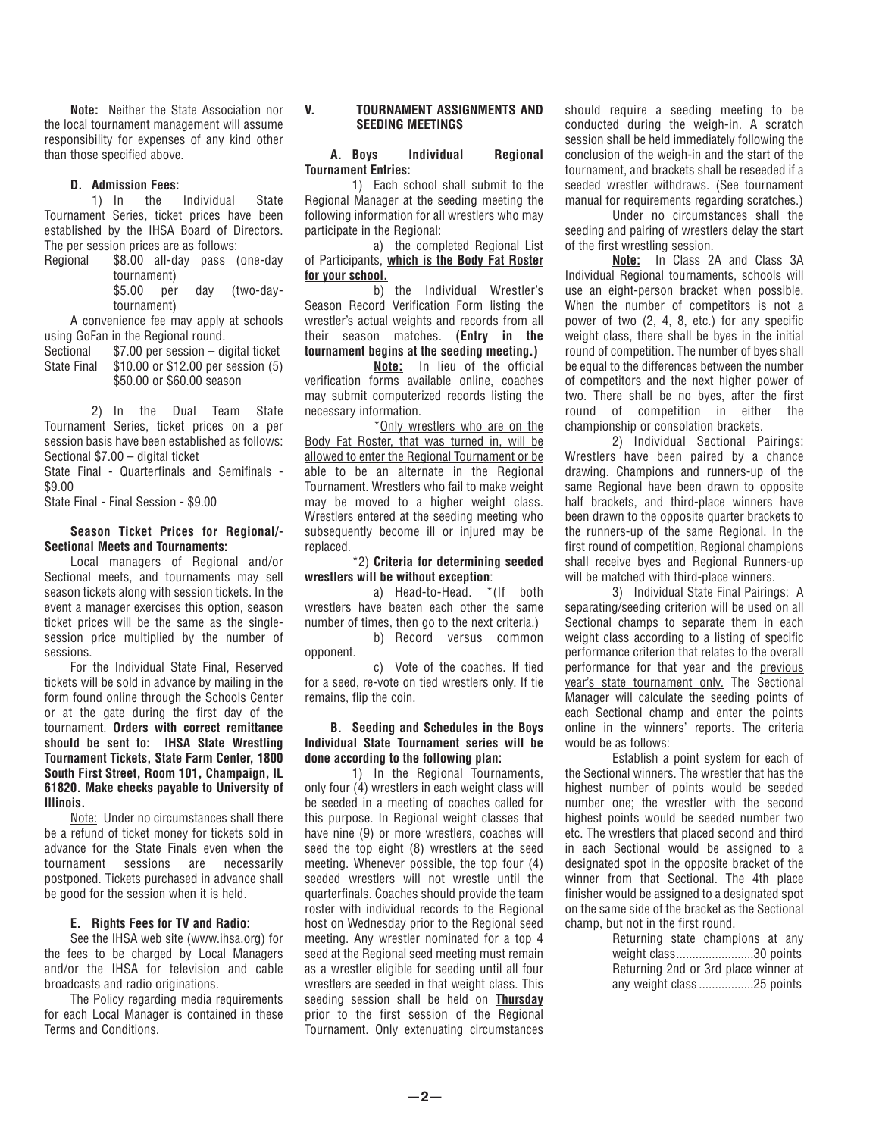**Note:** Neither the State Association nor the local tournament management will assume responsibility for expenses of any kind other than those specified above.

#### **D. Admission Fees:**

 1) In the Individual State Tournament Series, ticket prices have been established by the IHSA Board of Directors. The per session prices are as follows:

Regional \$8.00 all-day pass (one-day tournament) \$5.00 per day (two-day-

tournament) A convenience fee may apply at schools using GoFan in the Regional round.

Sectional \$7.00 per session – digital ticket State Final \$10.00 or \$12.00 per session (5) \$50.00 or \$60.00 season

 2) In the Dual Team State Tournament Series, ticket prices on a per session basis have been established as follows: Sectional \$7.00 – digital ticket

State Final - Quarterfinals and Semifinals - \$9.00

State Final - Final Session - \$9.00

## **Season Ticket Prices for Regional/- Sectional Meets and Tournaments:**

 Local managers of Regional and/or Sectional meets, and tournaments may sell season tickets along with session tickets. In the event a manager exercises this option, season ticket prices will be the same as the singlesession price multiplied by the number of sessions.

 For the Individual State Final, Reserved tickets will be sold in advance by mailing in the form found online through the Schools Center or at the gate during the first day of the tournament. **Orders with correct remittance should be sent to: IHSA State Wrestling Tournament Tickets, State Farm Center, 1800 South First Street, Room 101, Champaign, IL 61820. Make checks payable to University of Illinois.**

Note: Under no circumstances shall there be a refund of ticket money for tickets sold in advance for the State Finals even when the tournament sessions are necessarily postponed. Tickets purchased in advance shall be good for the session when it is held.

#### **E. Rights Fees for TV and Radio:**

 See the IHSA web site (www.ihsa.org) for the fees to be charged by Local Managers and/or the IHSA for television and cable broadcasts and radio originations.

 The Policy regarding media requirements for each Local Manager is contained in these Terms and Conditions.

## **V. TOURNAMENT ASSIGNMENTS AND SEEDING MEETINGS**

## **A. Boys Individual Regional Tournament Entries:**

1) Each school shall submit to the Regional Manager at the seeding meeting the following information for all wrestlers who may participate in the Regional:

 a) the completed Regional List of Participants, **which is the Body Fat Roster for your school.**

 b) the Individual Wrestler's Season Record Verification Form listing the wrestler's actual weights and records from all their season matches. **(Entry in the tournament begins at the seeding meeting.)**

 **Note:** In lieu of the official verification forms available online, coaches may submit computerized records listing the necessary information.

 \*Only wrestlers who are on the Body Fat Roster, that was turned in, will be allowed to enter the Regional Tournament or be able to be an alternate in the Regional Tournament. Wrestlers who fail to make weight may be moved to a higher weight class. Wrestlers entered at the seeding meeting who subsequently become ill or injured may be replaced.

# \*2) **Criteria for determining seeded wrestlers will be without exception**:

 a) Head-to-Head. \*(If both wrestlers have beaten each other the same number of times, then go to the next criteria.)

 b) Record versus common opponent.

 c) Vote of the coaches. If tied for a seed, re-vote on tied wrestlers only. If tie remains, flip the coin.

## **B. Seeding and Schedules in the Boys Individual State Tournament series will be done according to the following plan:**

 1) In the Regional Tournaments, only four (4) wrestlers in each weight class will be seeded in a meeting of coaches called for this purpose. In Regional weight classes that have nine (9) or more wrestlers, coaches will seed the top eight (8) wrestlers at the seed meeting. Whenever possible, the top four (4) seeded wrestlers will not wrestle until the quarterfinals. Coaches should provide the team roster with individual records to the Regional host on Wednesday prior to the Regional seed meeting. Any wrestler nominated for a top 4 seed at the Regional seed meeting must remain as a wrestler eligible for seeding until all four wrestlers are seeded in that weight class. This seeding session shall be held on **Thursday** prior to the first session of the Regional Tournament. Only extenuating circumstances

should require a seeding meeting to be conducted during the weigh-in. A scratch session shall be held immediately following the conclusion of the weigh-in and the start of the tournament, and brackets shall be reseeded if a seeded wrestler withdraws. (See tournament manual for requirements regarding scratches.)

 Under no circumstances shall the seeding and pairing of wrestlers delay the start of the first wrestling session.

 **Note:** In Class 2A and Class 3A Individual Regional tournaments, schools will use an eight-person bracket when possible. When the number of competitors is not a power of two (2, 4, 8, etc.) for any specific weight class, there shall be byes in the initial round of competition. The number of byes shall be equal to the differences between the number of competitors and the next higher power of two. There shall be no byes, after the first round of competition in either the championship or consolation brackets.

 2) Individual Sectional Pairings: Wrestlers have been paired by a chance drawing. Champions and runners-up of the same Regional have been drawn to opposite half brackets, and third-place winners have been drawn to the opposite quarter brackets to the runners-up of the same Regional. In the first round of competition, Regional champions shall receive byes and Regional Runners-up will be matched with third-place winners.

 3) Individual State Final Pairings: A separating/seeding criterion will be used on all Sectional champs to separate them in each weight class according to a listing of specific performance criterion that relates to the overall performance for that year and the previous year's state tournament only. The Sectional Manager will calculate the seeding points of each Sectional champ and enter the points online in the winners' reports. The criteria would be as follows:

 Establish a point system for each of the Sectional winners. The wrestler that has the highest number of points would be seeded number one; the wrestler with the second highest points would be seeded number two etc. The wrestlers that placed second and third in each Sectional would be assigned to a designated spot in the opposite bracket of the winner from that Sectional. The 4th place finisher would be assigned to a designated spot on the same side of the bracket as the Sectional champ, but not in the first round.

> Returning state champions at any weight class........................30 points Returning 2nd or 3rd place winner at any weight class .................25 points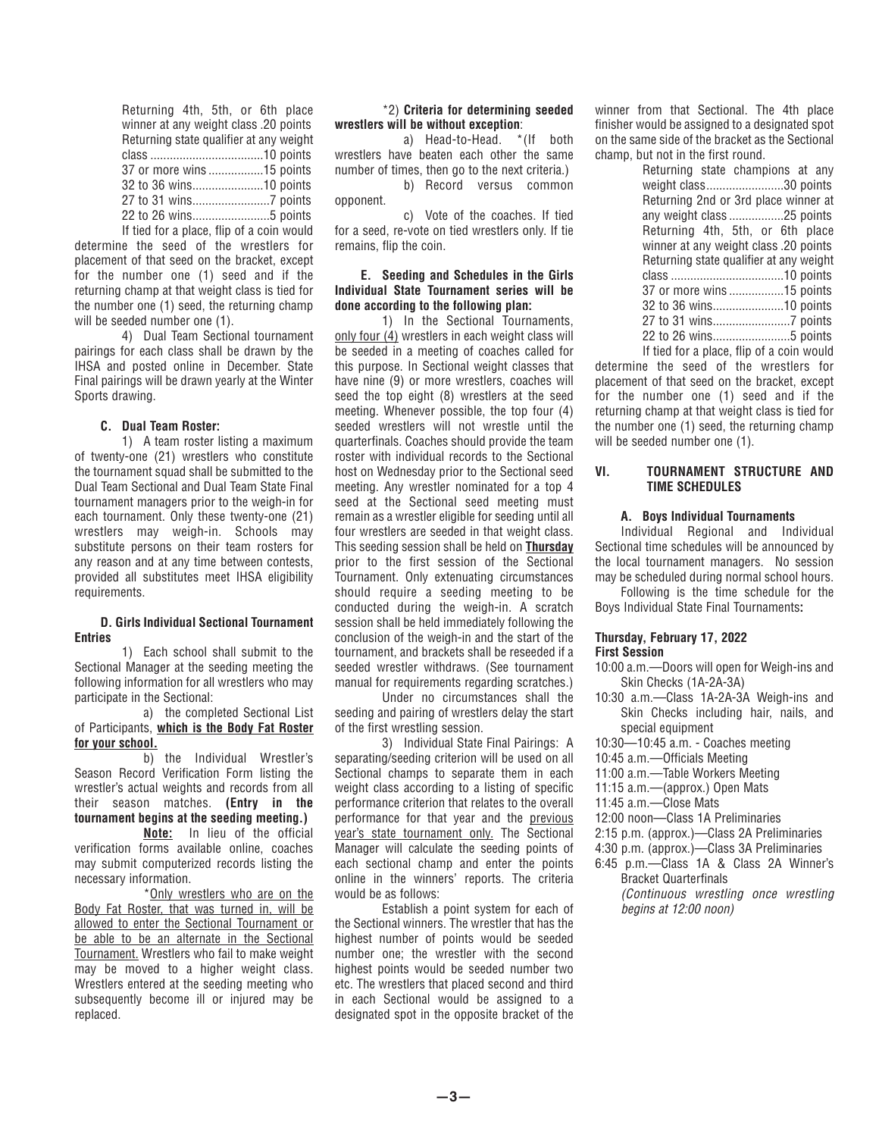| Returning 4th, 5th, or 6th place          |  |  |  |
|-------------------------------------------|--|--|--|
| winner at any weight class .20 points     |  |  |  |
| Returning state qualifier at any weight   |  |  |  |
|                                           |  |  |  |
| 37 or more wins15 points                  |  |  |  |
|                                           |  |  |  |
|                                           |  |  |  |
|                                           |  |  |  |
| If tied for a place, flip of a coin would |  |  |  |

determine the seed of the wrestlers for placement of that seed on the bracket, except for the number one (1) seed and if the returning champ at that weight class is tied for the number one (1) seed, the returning champ will be seeded number one (1).

 4) Dual Team Sectional tournament pairings for each class shall be drawn by the IHSA and posted online in December. State Final pairings will be drawn yearly at the Winter Sports drawing.

# **C. Dual Team Roster:**

1) A team roster listing a maximum of twenty-one (21) wrestlers who constitute the tournament squad shall be submitted to the Dual Team Sectional and Dual Team State Final tournament managers prior to the weigh-in for each tournament. Only these twenty-one (21) wrestlers may weigh-in. Schools may substitute persons on their team rosters for any reason and at any time between contests, provided all substitutes meet IHSA eligibility requirements.

#### **D. Girls Individual Sectional Tournament Entries**

1) Each school shall submit to the Sectional Manager at the seeding meeting the following information for all wrestlers who may participate in the Sectional:

 a) the completed Sectional List of Participants, **which is the Body Fat Roster for your school.**

 b) the Individual Wrestler's Season Record Verification Form listing the wrestler's actual weights and records from all their season matches. **(Entry in the tournament begins at the seeding meeting.)**

 **Note:** In lieu of the official verification forms available online, coaches may submit computerized records listing the necessary information.

 \*Only wrestlers who are on the Body Fat Roster, that was turned in, will be allowed to enter the Sectional Tournament or be able to be an alternate in the Sectional Tournament. Wrestlers who fail to make weight may be moved to a higher weight class. Wrestlers entered at the seeding meeting who subsequently become ill or injured may be replaced.

#### \*2) **Criteria for determining seeded wrestlers will be without exception**:

 a) Head-to-Head. \*(If both wrestlers have beaten each other the same number of times, then go to the next criteria.) b) Record versus common opponent.

 c) Vote of the coaches. If tied for a seed, re-vote on tied wrestlers only. If tie remains, flip the coin.

# **E. Seeding and Schedules in the Girls Individual State Tournament series will be done according to the following plan:**

 1) In the Sectional Tournaments, only four (4) wrestlers in each weight class will be seeded in a meeting of coaches called for this purpose. In Sectional weight classes that have nine (9) or more wrestlers, coaches will seed the top eight (8) wrestlers at the seed meeting. Whenever possible, the top four (4) seeded wrestlers will not wrestle until the quarterfinals. Coaches should provide the team roster with individual records to the Sectional host on Wednesday prior to the Sectional seed meeting. Any wrestler nominated for a top 4 seed at the Sectional seed meeting must remain as a wrestler eligible for seeding until all four wrestlers are seeded in that weight class. This seeding session shall be held on **Thursday** prior to the first session of the Sectional Tournament. Only extenuating circumstances should require a seeding meeting to be conducted during the weigh-in. A scratch session shall be held immediately following the conclusion of the weigh-in and the start of the tournament, and brackets shall be reseeded if a seeded wrestler withdraws. (See tournament manual for requirements regarding scratches.)

 Under no circumstances shall the seeding and pairing of wrestlers delay the start of the first wrestling session.

 3) Individual State Final Pairings: A separating/seeding criterion will be used on all Sectional champs to separate them in each weight class according to a listing of specific performance criterion that relates to the overall performance for that year and the previous year's state tournament only. The Sectional Manager will calculate the seeding points of each sectional champ and enter the points online in the winners' reports. The criteria would be as follows:

 Establish a point system for each of the Sectional winners. The wrestler that has the highest number of points would be seeded number one; the wrestler with the second highest points would be seeded number two etc. The wrestlers that placed second and third in each Sectional would be assigned to a designated spot in the opposite bracket of the winner from that Sectional. The 4th place finisher would be assigned to a designated spot on the same side of the bracket as the Sectional champ, but not in the first round.

| Returning state champions at any          |
|-------------------------------------------|
| weight class30 points                     |
| Returning 2nd or 3rd place winner at      |
| any weight class 25 points                |
| Returning 4th, 5th, or 6th place          |
| winner at any weight class .20 points     |
| Returning state qualifier at any weight   |
|                                           |
| 37 or more wins 15 points                 |
| 32 to 36 wins10 points                    |
|                                           |
| 22 to 26 wins5 points                     |
| If tied for a place, flip of a coin would |

determine the seed of the wrestlers for placement of that seed on the bracket, except for the number one (1) seed and if the returning champ at that weight class is tied for the number one (1) seed, the returning champ will be seeded number one  $(1)$ .

# **VI. TOURNAMENT STRUCTURE AND TIME SCHEDULES**

### **A. Boys Individual Tournaments**

 Individual Regional and Individual Sectional time schedules will be announced by the local tournament managers. No session may be scheduled during normal school hours.

 Following is the time schedule for the Boys Individual State Final Tournaments**:**

#### **Thursday, February 17, 2022 First Session**

- 10:00 a.m.—Doors will open for Weigh-ins and Skin Checks (1A-2A-3A)
- 10:30 a.m.—Class 1A-2A-3A Weigh-ins and Skin Checks including hair, nails, and special equipment
- 10:30—10:45 a.m. Coaches meeting
- 10:45 a.m.—Officials Meeting
- 11:00 a.m.—Table Workers Meeting
- 11:15 a.m.—(approx.) Open Mats
- 11:45 a.m.—Close Mats
- 12:00 noon—Class 1A Preliminaries
- 2:15 p.m. (approx.)—Class 2A Preliminaries
- 4:30 p.m. (approx.)—Class 3A Preliminaries
- 6:45 p.m.—Class 1A & Class 2A Winner's Bracket Quarterfinals  *(Continuous wrestling once wrestling*

*begins at 12:00 noon)*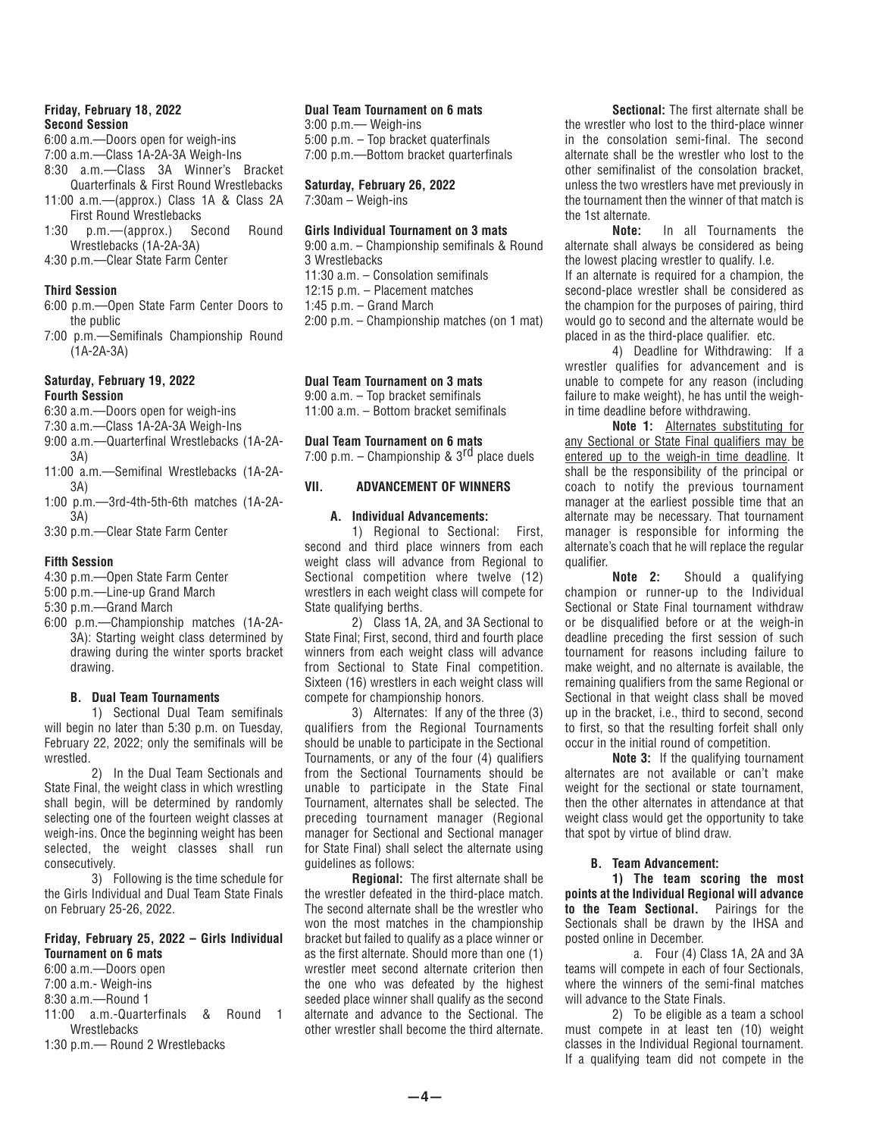# **Friday, February 18, 2022 Second Session**

6:00 a.m.—Doors open for weigh-ins

7:00 a.m.—Class 1A-2A-3A Weigh-Ins

8:30 a.m.—Class 3A Winner's Bracket Quarterfinals & First Round Wrestlebacks

- 11:00 a.m.—(approx.) Class 1A & Class 2A First Round Wrestlebacks
- 1:30 p.m.—(approx.) Second Round Wrestlebacks (1A-2A-3A)
- 4:30 p.m.—Clear State Farm Center

# **Third Session**

- 6:00 p.m.—Open State Farm Center Doors to the public
- 7:00 p.m.—Semifinals Championship Round  $(1A-2A-3A)$

#### **Saturday, February 19, 2022 Fourth Session**

6:30 a.m.—Doors open for weigh-ins

- 7:30 a.m.—Class 1A-2A-3A Weigh-Ins
- 9:00 a.m.—Quarterfinal Wrestlebacks (1A-2A-3A)
- 11:00 a.m.—Semifinal Wrestlebacks (1A-2A-3A)
- 1:00 p.m.—3rd-4th-5th-6th matches (1A-2A-3A)
- 3:30 p.m.—Clear State Farm Center

# **Fifth Session**

- 4:30 p.m.—Open State Farm Center
- 5:00 p.m.—Line-up Grand March
- 5:30 p.m.—Grand March
- 6:00 p.m.—Championship matches (1A-2A-3A): Starting weight class determined by drawing during the winter sports bracket drawing.

# **B. Dual Team Tournaments**

 1) Sectional Dual Team semifinals will begin no later than 5:30 p.m. on Tuesday, February 22, 2022; only the semifinals will be wrestled.

 2) In the Dual Team Sectionals and State Final, the weight class in which wrestling shall begin, will be determined by randomly selecting one of the fourteen weight classes at weigh-ins. Once the beginning weight has been selected, the weight classes shall run consecutively.

 3) Following is the time schedule for the Girls Individual and Dual Team State Finals on February 25-26, 2022.

# **Friday, February 25, 2022 – Girls Individual Tournament on 6 mats**

6:00 a.m.—Doors open

- 7:00 a.m.- Weigh-ins 8:30 a.m.—Round 1
- 11:00 a.m.-Quarterfinals & Round 1
- **Wrestlehacks**
- 1:30 p.m.— Round 2 Wrestlebacks

# **Dual Team Tournament on 6 mats**

3:00 p.m.— Weigh-ins 5:00 p.m. – Top bracket quaterfinals 7:00 p.m.—Bottom bracket quarterfinals

# **Saturday, February 26, 2022**

7:30am – Weigh-ins

# **Girls Individual Tournament on 3 mats**

9:00 a.m. – Championship semifinals & Round 3 Wrestlebacks 11:30 a.m. – Consolation semifinals 12:15 p.m. – Placement matches 1:45 p.m. – Grand March 2:00 p.m. – Championship matches (on 1 mat)

# **Dual Team Tournament on 3 mats**

9:00 a.m. – Top bracket semifinals 11:00 a.m. – Bottom bracket semifinals

**Dual Team Tournament on 6 mats**

7:00 p.m. – Championship &  $3<sup>rd</sup>$  place duels

# **VII. ADVANCEMENT OF WINNERS**

# **A. Individual Advancements:**

 1) Regional to Sectional: First, second and third place winners from each weight class will advance from Regional to Sectional competition where twelve (12) wrestlers in each weight class will compete for State qualifying berths.

 2) Class 1A, 2A, and 3A Sectional to State Final; First, second, third and fourth place winners from each weight class will advance from Sectional to State Final competition. Sixteen (16) wrestlers in each weight class will compete for championship honors.

 3) Alternates: If any of the three (3) qualifiers from the Regional Tournaments should be unable to participate in the Sectional Tournaments, or any of the four (4) qualifiers from the Sectional Tournaments should be unable to participate in the State Final Tournament, alternates shall be selected. The preceding tournament manager (Regional manager for Sectional and Sectional manager for State Final) shall select the alternate using guidelines as follows:

 **Regional:** The first alternate shall be the wrestler defeated in the third-place match. The second alternate shall be the wrestler who won the most matches in the championship bracket but failed to qualify as a place winner or as the first alternate. Should more than one (1) wrestler meet second alternate criterion then the one who was defeated by the highest seeded place winner shall qualify as the second alternate and advance to the Sectional. The other wrestler shall become the third alternate.

 **Sectional:** The first alternate shall be the wrestler who lost to the third-place winner in the consolation semi-final. The second alternate shall be the wrestler who lost to the other semifinalist of the consolation bracket, unless the two wrestlers have met previously in the tournament then the winner of that match is the 1st alternate.

 **Note:** In all Tournaments the alternate shall always be considered as being the lowest placing wrestler to qualify. I.e.

If an alternate is required for a champion, the second-place wrestler shall be considered as the champion for the purposes of pairing, third would go to second and the alternate would be placed in as the third-place qualifier. etc.

 4) Deadline for Withdrawing: If a wrestler qualifies for advancement and is unable to compete for any reason (including failure to make weight), he has until the weighin time deadline before withdrawing.

 **Note 1:** Alternates substituting for any Sectional or State Final qualifiers may be entered up to the weigh-in time deadline. It shall be the responsibility of the principal or coach to notify the previous tournament manager at the earliest possible time that an alternate may be necessary. That tournament manager is responsible for informing the alternate's coach that he will replace the regular qualifier.

 **Note 2:** Should a qualifying champion or runner-up to the Individual Sectional or State Final tournament withdraw or be disqualified before or at the weigh-in deadline preceding the first session of such tournament for reasons including failure to make weight, and no alternate is available, the remaining qualifiers from the same Regional or Sectional in that weight class shall be moved up in the bracket, i.e., third to second, second to first, so that the resulting forfeit shall only occur in the initial round of competition.

 **Note 3:** If the qualifying tournament alternates are not available or can't make weight for the sectional or state tournament, then the other alternates in attendance at that weight class would get the opportunity to take that spot by virtue of blind draw.

# **B. Team Advancement:**

 **1) The team scoring the most points at the Individual Regional will advance to the Team Sectional.** Pairings for the Sectionals shall be drawn by the IHSA and posted online in December.

 a. Four (4) Class 1A, 2A and 3A teams will compete in each of four Sectionals, where the winners of the semi-final matches will advance to the State Finals.

 2) To be eligible as a team a school must compete in at least ten (10) weight classes in the Individual Regional tournament. If a qualifying team did not compete in the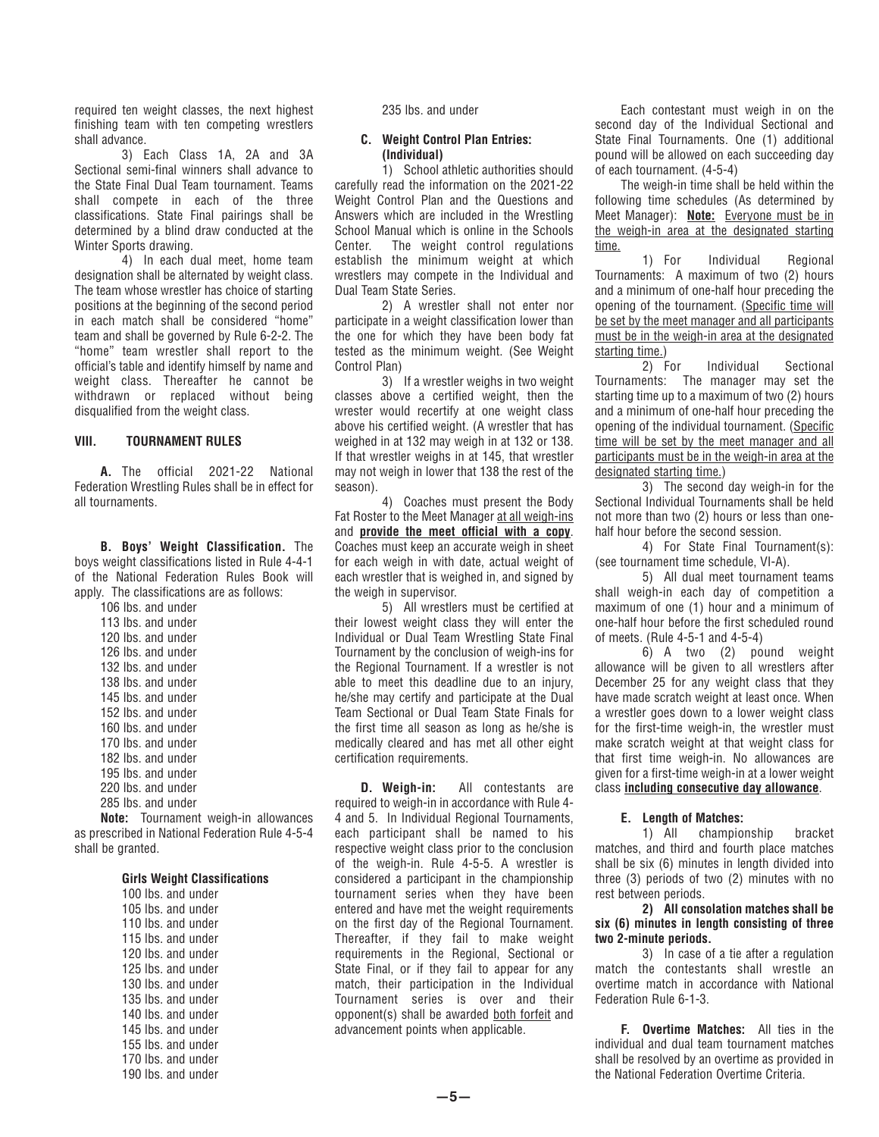required ten weight classes, the next highest finishing team with ten competing wrestlers shall advance.

 3) Each Class 1A, 2A and 3A Sectional semi-final winners shall advance to the State Final Dual Team tournament. Teams shall compete in each of the three classifications. State Final pairings shall be determined by a blind draw conducted at the Winter Sports drawing.

 4) In each dual meet, home team designation shall be alternated by weight class. The team whose wrestler has choice of starting positions at the beginning of the second period in each match shall be considered "home" team and shall be governed by Rule 6-2-2. The "home" team wrestler shall report to the official's table and identify himself by name and weight class. Thereafter he cannot be withdrawn or replaced without being disqualified from the weight class.

## **VIII. TOURNAMENT RULES**

 **A.** The official 2021-22 National Federation Wrestling Rules shall be in effect for all tournaments.

 **B. Boys' Weight Classification.** The boys weight classifications listed in Rule 4-4-1 of the National Federation Rules Book will apply. The classifications are as follows: 106 lbs. and under

 lbs. and under lbs. and under lbs. and under lbs. and under lbs. and under lbs. and under lbs. and under lbs. and under lbs. and under lbs. and under lbs. and under lbs. and under lbs. and under

 **Note:** Tournament weigh-in allowances as prescribed in National Federation Rule 4-5-4 shall be granted.

#### **Girls Weight Classifications**

|  |  | 100 lbs. and under |  |
|--|--|--------------------|--|
|  |  | 105 lbs. and under |  |
|  |  | 110 lbs. and under |  |
|  |  | 115 lbs. and under |  |
|  |  | 120 lbs. and under |  |
|  |  | 125 lbs. and under |  |
|  |  | 130 lbs. and under |  |
|  |  | 135 lbs. and under |  |
|  |  | 140 lbs. and under |  |
|  |  | 145 lbs. and under |  |
|  |  | 155 lbs. and under |  |
|  |  | 170 lbs. and under |  |
|  |  | 190 lbs. and under |  |

235 lbs. and under

# **C. Weight Control Plan Entries: (Individual)**

 1) School athletic authorities should carefully read the information on the 2021-22 Weight Control Plan and the Questions and Answers which are included in the Wrestling School Manual which is online in the Schools Center. The weight control regulations establish the minimum weight at which wrestlers may compete in the Individual and Dual Team State Series.

 2) A wrestler shall not enter nor participate in a weight classification lower than the one for which they have been body fat tested as the minimum weight. (See Weight Control Plan)

 3) If a wrestler weighs in two weight classes above a certified weight, then the wrester would recertify at one weight class above his certified weight. (A wrestler that has weighed in at 132 may weigh in at 132 or 138. If that wrestler weighs in at 145, that wrestler may not weigh in lower that 138 the rest of the season).

 4) Coaches must present the Body Fat Roster to the Meet Manager at all weigh-ins and **provide the meet official with a copy**. Coaches must keep an accurate weigh in sheet for each weigh in with date, actual weight of each wrestler that is weighed in, and signed by the weigh in supervisor.

 5) All wrestlers must be certified at their lowest weight class they will enter the Individual or Dual Team Wrestling State Final Tournament by the conclusion of weigh-ins for the Regional Tournament. If a wrestler is not able to meet this deadline due to an injury, he/she may certify and participate at the Dual Team Sectional or Dual Team State Finals for the first time all season as long as he/she is medically cleared and has met all other eight certification requirements.

 **D. Weigh-in:** All contestants are required to weigh-in in accordance with Rule 4- 4 and 5. In Individual Regional Tournaments, each participant shall be named to his respective weight class prior to the conclusion of the weigh-in. Rule 4-5-5. A wrestler is considered a participant in the championship tournament series when they have been entered and have met the weight requirements on the first day of the Regional Tournament. Thereafter, if they fail to make weight requirements in the Regional, Sectional or State Final, or if they fail to appear for any match, their participation in the Individual Tournament series is over and their opponent(s) shall be awarded both forfeit and advancement points when applicable.

 Each contestant must weigh in on the second day of the Individual Sectional and State Final Tournaments. One (1) additional pound will be allowed on each succeeding day of each tournament. (4-5-4)

 The weigh-in time shall be held within the following time schedules (As determined by Meet Manager): **Note:** Everyone must be in the weigh-in area at the designated starting time.

 1) For Individual Regional Tournaments: A maximum of two (2) hours and a minimum of one-half hour preceding the opening of the tournament. (Specific time will be set by the meet manager and all participants must be in the weigh-in area at the designated starting time.)

 2) For Individual Sectional Tournaments: The manager may set the starting time up to a maximum of two (2) hours and a minimum of one-half hour preceding the opening of the individual tournament. (Specific time will be set by the meet manager and all participants must be in the weigh-in area at the designated starting time.)

 3) The second day weigh-in for the Sectional Individual Tournaments shall be held not more than two (2) hours or less than onehalf hour before the second session.

 4) For State Final Tournament(s): (see tournament time schedule, VI-A).

 5) All dual meet tournament teams shall weigh-in each day of competition a maximum of one (1) hour and a minimum of one-half hour before the first scheduled round of meets. (Rule 4-5-1 and 4-5-4)

 6) A two (2) pound weight allowance will be given to all wrestlers after December 25 for any weight class that they have made scratch weight at least once. When a wrestler goes down to a lower weight class for the first-time weigh-in, the wrestler must make scratch weight at that weight class for that first time weigh-in. No allowances are given for a first-time weigh-in at a lower weight class **including consecutive day allowance**.

#### **E. Length of Matches:**

 1) All championship bracket matches, and third and fourth place matches shall be six (6) minutes in length divided into three (3) periods of two (2) minutes with no rest between periods.

 **2) All consolation matches shall be six (6) minutes in length consisting of three two 2-minute periods.**

 3) In case of a tie after a regulation match the contestants shall wrestle an overtime match in accordance with National Federation Rule 6-1-3.

 **F. Overtime Matches:** All ties in the individual and dual team tournament matches shall be resolved by an overtime as provided in the National Federation Overtime Criteria.

**—5—**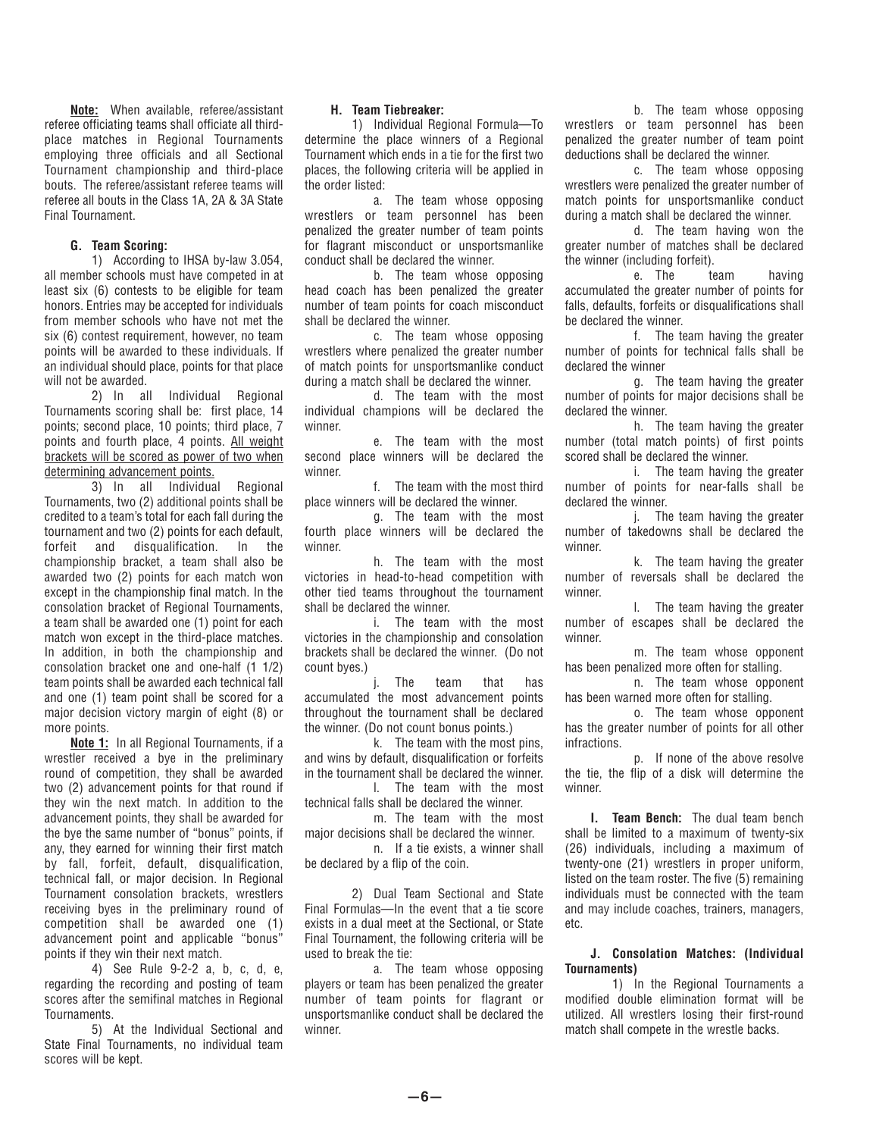**Note:** When available, referee/assistant referee officiating teams shall officiate all thirdplace matches in Regional Tournaments employing three officials and all Sectional Tournament championship and third-place bouts. The referee/assistant referee teams will referee all bouts in the Class 1A, 2A & 3A State Final Tournament.

## **G. Team Scoring:**

 1) According to IHSA by-law 3.054, all member schools must have competed in at least six (6) contests to be eligible for team honors. Entries may be accepted for individuals from member schools who have not met the six (6) contest requirement, however, no team points will be awarded to these individuals. If an individual should place, points for that place will not be awarded.

 2) In all Individual Regional Tournaments scoring shall be: first place, 14 points; second place, 10 points; third place, 7 points and fourth place, 4 points. All weight brackets will be scored as power of two when determining advancement points.

 3) In all Individual Regional Tournaments, two (2) additional points shall be credited to a team's total for each fall during the tournament and two (2) points for each default, forfeit and disqualification. In the championship bracket, a team shall also be awarded two (2) points for each match won except in the championship final match. In the consolation bracket of Regional Tournaments, a team shall be awarded one (1) point for each match won except in the third-place matches. In addition, in both the championship and consolation bracket one and one-half (1 1/2) team points shall be awarded each technical fall and one (1) team point shall be scored for a major decision victory margin of eight (8) or more points.

 **Note 1:** In all Regional Tournaments, if a wrestler received a bye in the preliminary round of competition, they shall be awarded two (2) advancement points for that round if they win the next match. In addition to the advancement points, they shall be awarded for the bye the same number of "bonus" points, if any, they earned for winning their first match by fall, forfeit, default, disqualification, technical fall, or major decision. In Regional Tournament consolation brackets, wrestlers receiving byes in the preliminary round of competition shall be awarded one (1) advancement point and applicable "bonus" points if they win their next match.

 4) See Rule 9-2-2 a, b, c, d, e, regarding the recording and posting of team scores after the semifinal matches in Regional Tournaments.

 5) At the Individual Sectional and State Final Tournaments, no individual team scores will be kept.

## **H. Team Tiebreaker:**

 1) Individual Regional Formula—To determine the place winners of a Regional Tournament which ends in a tie for the first two places, the following criteria will be applied in the order listed:

 a. The team whose opposing wrestlers or team personnel has been penalized the greater number of team points for flagrant misconduct or unsportsmanlike conduct shall be declared the winner.

 b. The team whose opposing head coach has been penalized the greater number of team points for coach misconduct shall be declared the winner.

 c. The team whose opposing wrestlers where penalized the greater number of match points for unsportsmanlike conduct during a match shall be declared the winner.

 d. The team with the most individual champions will be declared the winner.

 e. The team with the most second place winners will be declared the winner.

 f. The team with the most third place winners will be declared the winner.

 g. The team with the most fourth place winners will be declared the winner.

 h. The team with the most victories in head-to-head competition with other tied teams throughout the tournament shall be declared the winner.

 i. The team with the most victories in the championship and consolation brackets shall be declared the winner. (Do not count byes.)

 j. The team that has accumulated the most advancement points throughout the tournament shall be declared the winner. (Do not count bonus points.)

 k. The team with the most pins, and wins by default, disqualification or forfeits in the tournament shall be declared the winner. l. The team with the most

technical falls shall be declared the winner. m. The team with the most

major decisions shall be declared the winner.

 n. If a tie exists, a winner shall be declared by a flip of the coin.

 2) Dual Team Sectional and State Final Formulas—In the event that a tie score exists in a dual meet at the Sectional, or State Final Tournament, the following criteria will be used to break the tie:

 a. The team whose opposing players or team has been penalized the greater number of team points for flagrant or unsportsmanlike conduct shall be declared the winner.

 b. The team whose opposing wrestlers or team personnel has been penalized the greater number of team point deductions shall be declared the winner.

 c. The team whose opposing wrestlers were penalized the greater number of match points for unsportsmanlike conduct during a match shall be declared the winner.

 d. The team having won the greater number of matches shall be declared the winner (including forfeit).

 e. The team having accumulated the greater number of points for falls, defaults, forfeits or disqualifications shall be declared the winner.

 f. The team having the greater number of points for technical falls shall be declared the winner

 g. The team having the greater number of points for major decisions shall be declared the winner.

 h. The team having the greater number (total match points) of first points scored shall be declared the winner.

 i. The team having the greater number of points for near-falls shall be declared the winner.

 j. The team having the greater number of takedowns shall be declared the winner.

 k. The team having the greater number of reversals shall be declared the winner.

 l. The team having the greater number of escapes shall be declared the winner.

 m. The team whose opponent has been penalized more often for stalling.

 n. The team whose opponent has been warned more often for stalling.

 o. The team whose opponent has the greater number of points for all other infractions.

 p. If none of the above resolve the tie, the flip of a disk will determine the winner.

 **I. Team Bench:** The dual team bench shall be limited to a maximum of twenty-six (26) individuals, including a maximum of twenty-one (21) wrestlers in proper uniform, listed on the team roster. The five (5) remaining individuals must be connected with the team and may include coaches, trainers, managers, etc.

#### **J. Consolation Matches: (Individual Tournaments)**

 1) In the Regional Tournaments a modified double elimination format will be utilized. All wrestlers losing their first-round match shall compete in the wrestle backs.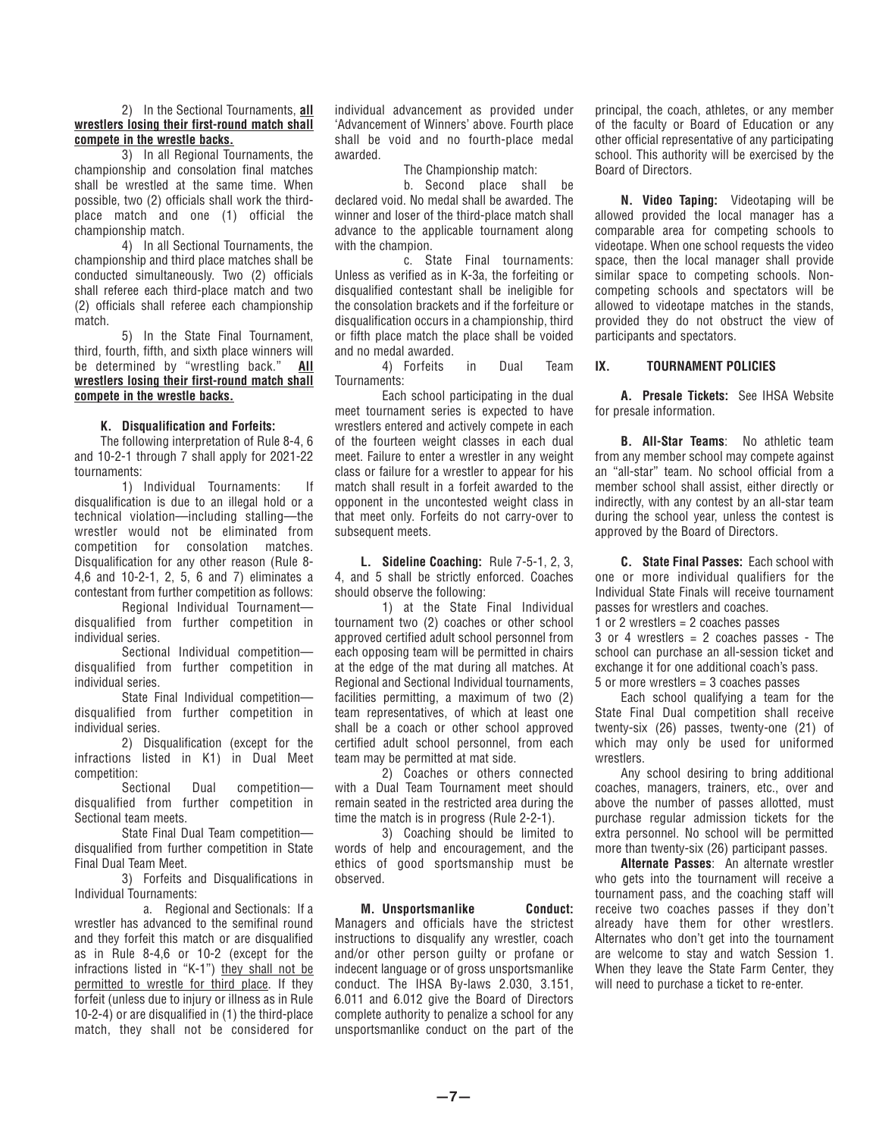## 2) In the Sectional Tournaments, **all wrestlers losing their first-round match shall compete in the wrestle backs.**

 3) In all Regional Tournaments, the championship and consolation final matches shall be wrestled at the same time. When possible, two (2) officials shall work the thirdplace match and one (1) official the championship match.

 4) In all Sectional Tournaments, the championship and third place matches shall be conducted simultaneously. Two (2) officials shall referee each third-place match and two (2) officials shall referee each championship match.

 5) In the State Final Tournament, third, fourth, fifth, and sixth place winners will be determined by "wrestling back." **All wrestlers losing their first-round match shall compete in the wrestle backs.**

# **K. Disqualification and Forfeits:**

 The following interpretation of Rule 8-4, 6 and 10-2-1 through 7 shall apply for 2021-22 tournaments:

 1) Individual Tournaments: If disqualification is due to an illegal hold or a technical violation—including stalling—the wrestler would not be eliminated from competition for consolation matches. Disqualification for any other reason (Rule 8- 4,6 and 10-2-1, 2, 5, 6 and 7) eliminates a contestant from further competition as follows:

 Regional Individual Tournament disqualified from further competition in individual series.

 Sectional Individual competition disqualified from further competition in individual series.

 State Final Individual competition disqualified from further competition in individual series.

 2) Disqualification (except for the infractions listed in K1) in Dual Meet competition:

 Sectional Dual competition disqualified from further competition in Sectional team meets.

 State Final Dual Team competition disqualified from further competition in State Final Dual Team Meet.

 3) Forfeits and Disqualifications in Individual Tournaments:

 a. Regional and Sectionals: If a wrestler has advanced to the semifinal round and they forfeit this match or are disqualified as in Rule 8-4,6 or 10-2 (except for the infractions listed in "K-1") they shall not be permitted to wrestle for third place. If they forfeit (unless due to injury or illness as in Rule 10-2-4) or are disqualified in (1) the third-place match, they shall not be considered for individual advancement as provided under 'Advancement of Winners' above. Fourth place shall be void and no fourth-place medal awarded.

The Championship match:

 b. Second place shall be declared void. No medal shall be awarded. The winner and loser of the third-place match shall advance to the applicable tournament along with the champion.

 c. State Final tournaments: Unless as verified as in K-3a, the forfeiting or disqualified contestant shall be ineligible for the consolation brackets and if the forfeiture or disqualification occurs in a championship, third or fifth place match the place shall be voided and no medal awarded.

 4) Forfeits in Dual Team Tournaments:

 Each school participating in the dual meet tournament series is expected to have wrestlers entered and actively compete in each of the fourteen weight classes in each dual meet. Failure to enter a wrestler in any weight class or failure for a wrestler to appear for his match shall result in a forfeit awarded to the opponent in the uncontested weight class in that meet only. Forfeits do not carry-over to subsequent meets.

 **L. Sideline Coaching:** Rule 7-5-1, 2, 3, 4, and 5 shall be strictly enforced. Coaches should observe the following:

 1) at the State Final Individual tournament two (2) coaches or other school approved certified adult school personnel from each opposing team will be permitted in chairs at the edge of the mat during all matches. At Regional and Sectional Individual tournaments, facilities permitting, a maximum of two (2) team representatives, of which at least one shall be a coach or other school approved certified adult school personnel, from each team may be permitted at mat side.

 2) Coaches or others connected with a Dual Team Tournament meet should remain seated in the restricted area during the time the match is in progress (Rule 2-2-1).

 3) Coaching should be limited to words of help and encouragement, and the ethics of good sportsmanship must be observed.

 **M. Unsportsmanlike Conduct:** Managers and officials have the strictest instructions to disqualify any wrestler, coach and/or other person guilty or profane or indecent language or of gross unsportsmanlike conduct. The IHSA By-laws 2.030, 3.151, 6.011 and 6.012 give the Board of Directors complete authority to penalize a school for any unsportsmanlike conduct on the part of the principal, the coach, athletes, or any member of the faculty or Board of Education or any other official representative of any participating school. This authority will be exercised by the Board of Directors.

 **N. Video Taping:** Videotaping will be allowed provided the local manager has a comparable area for competing schools to videotape. When one school requests the video space, then the local manager shall provide similar space to competing schools. Noncompeting schools and spectators will be allowed to videotape matches in the stands, provided they do not obstruct the view of participants and spectators.

# **IX. TOURNAMENT POLICIES**

 **A. Presale Tickets:** See IHSA Website for presale information.

 **B. All-Star Teams**: No athletic team from any member school may compete against an "all-star" team. No school official from a member school shall assist, either directly or indirectly, with any contest by an all-star team during the school year, unless the contest is approved by the Board of Directors.

 **C. State Final Passes:** Each school with one or more individual qualifiers for the Individual State Finals will receive tournament passes for wrestlers and coaches.

1 or 2 wrestlers = 2 coaches passes

3 or 4 wrestlers = 2 coaches passes - The school can purchase an all-session ticket and exchange it for one additional coach's pass. 5 or more wrestlers = 3 coaches passes

 Each school qualifying a team for the State Final Dual competition shall receive twenty-six (26) passes, twenty-one (21) of which may only be used for uniformed wrestlers.

 Any school desiring to bring additional coaches, managers, trainers, etc., over and above the number of passes allotted, must purchase regular admission tickets for the extra personnel. No school will be permitted more than twenty-six (26) participant passes.

 **Alternate Passes**: An alternate wrestler who gets into the tournament will receive a tournament pass, and the coaching staff will receive two coaches passes if they don't already have them for other wrestlers. Alternates who don't get into the tournament are welcome to stay and watch Session 1. When they leave the State Farm Center, they will need to purchase a ticket to re-enter.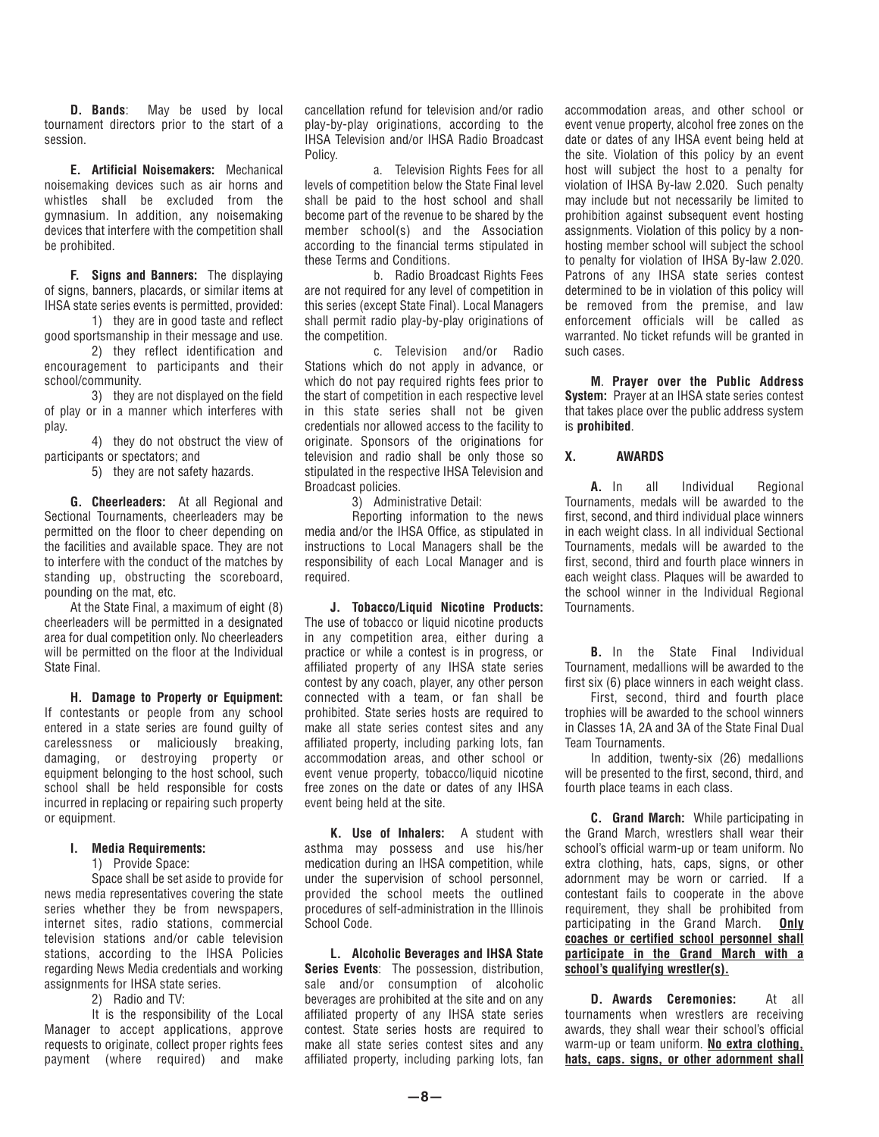**D. Bands**: May be used by local tournament directors prior to the start of a session.

 **E. Artificial Noisemakers:** Mechanical noisemaking devices such as air horns and whistles shall be excluded from the gymnasium. In addition, any noisemaking devices that interfere with the competition shall be prohibited.

 **F. Signs and Banners:** The displaying of signs, banners, placards, or similar items at IHSA state series events is permitted, provided:

 1) they are in good taste and reflect good sportsmanship in their message and use.

 2) they reflect identification and encouragement to participants and their school/community.

 3) they are not displayed on the field of play or in a manner which interferes with play.

 4) they do not obstruct the view of participants or spectators; and

5) they are not safety hazards.

 **G. Cheerleaders:** At all Regional and Sectional Tournaments, cheerleaders may be permitted on the floor to cheer depending on the facilities and available space. They are not to interfere with the conduct of the matches by standing up, obstructing the scoreboard, pounding on the mat, etc.

 At the State Final, a maximum of eight (8) cheerleaders will be permitted in a designated area for dual competition only. No cheerleaders will be permitted on the floor at the Individual State Final.

 **H. Damage to Property or Equipment:** If contestants or people from any school entered in a state series are found guilty of carelessness or maliciously breaking, damaging, or destroying property or equipment belonging to the host school, such school shall be held responsible for costs incurred in replacing or repairing such property or equipment.

#### **I. Media Requirements:**

1) Provide Space:

 Space shall be set aside to provide for news media representatives covering the state series whether they be from newspapers, internet sites, radio stations, commercial television stations and/or cable television stations, according to the IHSA Policies regarding News Media credentials and working assignments for IHSA state series.

2) Radio and TV:

It is the responsibility of the Local Manager to accept applications, approve requests to originate, collect proper rights fees payment (where required) and make cancellation refund for television and/or radio play-by-play originations, according to the IHSA Television and/or IHSA Radio Broadcast Policy.

 a. Television Rights Fees for all levels of competition below the State Final level shall be paid to the host school and shall become part of the revenue to be shared by the member school(s) and the Association according to the financial terms stipulated in these Terms and Conditions.

 b. Radio Broadcast Rights Fees are not required for any level of competition in this series (except State Final). Local Managers shall permit radio play-by-play originations of the competition.

 c. Television and/or Radio Stations which do not apply in advance, or which do not pay required rights fees prior to the start of competition in each respective level in this state series shall not be given credentials nor allowed access to the facility to originate. Sponsors of the originations for television and radio shall be only those so stipulated in the respective IHSA Television and Broadcast policies.

3) Administrative Detail:

 Reporting information to the news media and/or the IHSA Office, as stipulated in instructions to Local Managers shall be the responsibility of each Local Manager and is required.

 **J. Tobacco/Liquid Nicotine Products:** The use of tobacco or liquid nicotine products in any competition area, either during a practice or while a contest is in progress, or affiliated property of any IHSA state series contest by any coach, player, any other person connected with a team, or fan shall be prohibited. State series hosts are required to make all state series contest sites and any affiliated property, including parking lots, fan accommodation areas, and other school or event venue property, tobacco/liquid nicotine free zones on the date or dates of any IHSA event being held at the site.

 **K. Use of Inhalers:** A student with asthma may possess and use his/her medication during an IHSA competition, while under the supervision of school personnel, provided the school meets the outlined procedures of self-administration in the Illinois School Code.

 **L. Alcoholic Beverages and IHSA State Series Events**: The possession, distribution, sale and/or consumption of alcoholic beverages are prohibited at the site and on any affiliated property of any IHSA state series contest. State series hosts are required to make all state series contest sites and any affiliated property, including parking lots, fan

accommodation areas, and other school or event venue property, alcohol free zones on the date or dates of any IHSA event being held at the site. Violation of this policy by an event host will subject the host to a penalty for violation of IHSA By-law 2.020. Such penalty may include but not necessarily be limited to prohibition against subsequent event hosting assignments. Violation of this policy by a nonhosting member school will subject the school to penalty for violation of IHSA By-law 2.020. Patrons of any IHSA state series contest determined to be in violation of this policy will be removed from the premise, and law enforcement officials will be called as warranted. No ticket refunds will be granted in such cases.

 **M**. **Prayer over the Public Address System:** Prayer at an IHSA state series contest that takes place over the public address system is **prohibited**.

# **X. AWARDS**

 **A.** In all Individual Regional Tournaments, medals will be awarded to the first, second, and third individual place winners in each weight class. In all individual Sectional Tournaments, medals will be awarded to the first, second, third and fourth place winners in each weight class. Plaques will be awarded to the school winner in the Individual Regional Tournaments.

 **B.** In the State Final Individual Tournament, medallions will be awarded to the first six (6) place winners in each weight class.

 First, second, third and fourth place trophies will be awarded to the school winners in Classes 1A, 2A and 3A of the State Final Dual Team Tournaments.

 In addition, twenty-six (26) medallions will be presented to the first, second, third, and fourth place teams in each class.

 **C. Grand March:** While participating in the Grand March, wrestlers shall wear their school's official warm-up or team uniform. No extra clothing, hats, caps, signs, or other adornment may be worn or carried. If a contestant fails to cooperate in the above requirement, they shall be prohibited from participating in the Grand March. **Only coaches or certified school personnel shall participate in the Grand March with a school's qualifying wrestler(s).**

 **D. Awards Ceremonies:** At all tournaments when wrestlers are receiving awards, they shall wear their school's official warm-up or team uniform. **No extra clothing, hats, caps. signs, or other adornment shall**